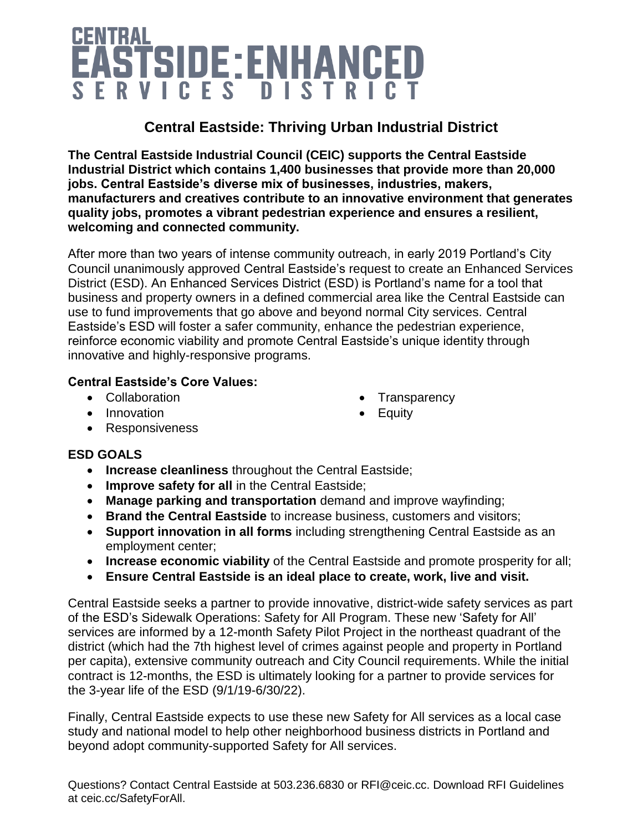# EASTSIDE: ENHANCED SERVICES DISTRICT

### **Central Eastside: Thriving Urban Industrial District**

**The Central Eastside Industrial Council (CEIC) supports the Central Eastside Industrial District which contains 1,400 businesses that provide more than 20,000 jobs. Central Eastside's diverse mix of businesses, industries, makers, manufacturers and creatives contribute to an innovative environment that generates quality jobs, promotes a vibrant pedestrian experience and ensures a resilient, welcoming and connected community.**

After more than two years of intense community outreach, in early 2019 Portland's City Council unanimously approved Central Eastside's request to create an Enhanced Services District (ESD). An Enhanced Services District (ESD) is Portland's name for a tool that business and property owners in a defined commercial area like the Central Eastside can use to fund improvements that go above and beyond normal City services. Central Eastside's ESD will foster a safer community, enhance the pedestrian experience, reinforce economic viability and promote Central Eastside's unique identity through innovative and highly-responsive programs.

> • Transparency **Equity**

#### **Central Eastside's Core Values:**

- Collaboration
- Innovation
- Responsiveness

# **ESD GOALS**

- **Increase cleanliness** throughout the Central Eastside;
- **Improve safety for all** in the Central Eastside;
- **Manage parking and transportation** demand and improve wayfinding;
- **Brand the Central Eastside** to increase business, customers and visitors;
- **Support innovation in all forms** including strengthening Central Eastside as an employment center;
- **Increase economic viability** of the Central Eastside and promote prosperity for all;
- **Ensure Central Eastside is an ideal place to create, work, live and visit.**

Central Eastside seeks a partner to provide innovative, district-wide safety services as part of the ESD's Sidewalk Operations: Safety for All Program. These new 'Safety for All' services are informed by a 12-month Safety Pilot Project in the northeast quadrant of the district (which had the 7th highest level of crimes against people and property in Portland per capita), extensive community outreach and City Council requirements. While the initial contract is 12-months, the ESD is ultimately looking for a partner to provide services for the 3-year life of the ESD (9/1/19-6/30/22).

Finally, Central Eastside expects to use these new Safety for All services as a local case study and national model to help other neighborhood business districts in Portland and beyond adopt community-supported Safety for All services.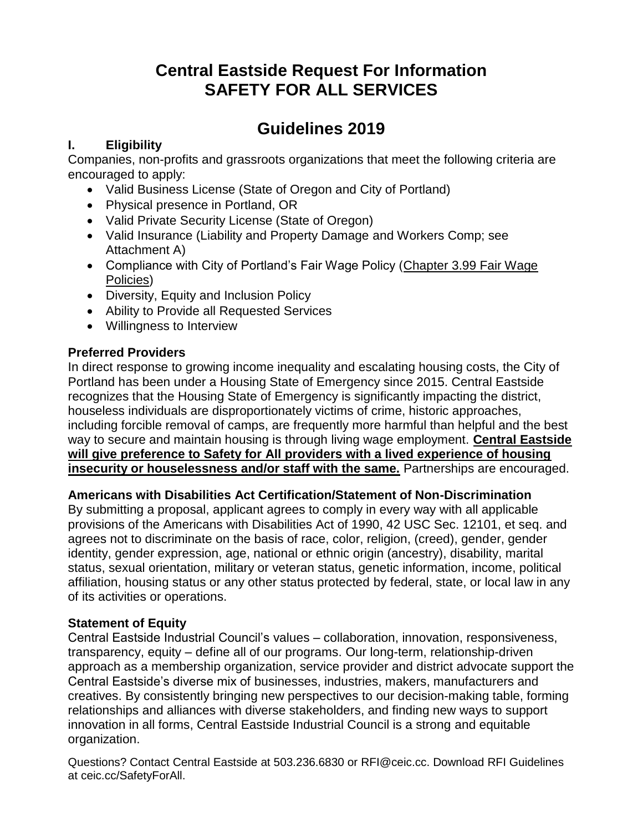## **Guidelines 2019**

#### **I. Eligibility**

Companies, non-profits and grassroots organizations that meet the following criteria are encouraged to apply:

- Valid Business License (State of Oregon and City of Portland)
- Physical presence in Portland, OR
- Valid Private Security License (State of Oregon)
- Valid Insurance (Liability and Property Damage and Workers Comp; see Attachment A)
- Compliance with City of Portland's Fair Wage Policy [\(Chapter 3.99 Fair Wage](https://www.portlandoregon.gov/cityCode/28462)  [Policies\)](https://www.portlandoregon.gov/cityCode/28462)
- Diversity, Equity and Inclusion Policy
- Ability to Provide all Requested Services
- Willingness to Interview

#### **Preferred Providers**

In direct response to growing income inequality and escalating housing costs, the City of Portland has been under a Housing State of Emergency since 2015. Central Eastside recognizes that the Housing State of Emergency is significantly impacting the district, houseless individuals are disproportionately victims of crime, historic approaches, including forcible removal of camps, are frequently more harmful than helpful and the best way to secure and maintain housing is through living wage employment. **Central Eastside will give preference to Safety for All providers with a lived experience of housing insecurity or houselessness and/or staff with the same.** Partnerships are encouraged.

#### **Americans with Disabilities Act Certification/Statement of Non-Discrimination**

By submitting a proposal, applicant agrees to comply in every way with all applicable provisions of the Americans with Disabilities Act of 1990, 42 USC Sec. 12101, et seq. and agrees not to discriminate on the basis of race, color, religion, (creed), gender, gender identity, gender expression, age, national or ethnic origin (ancestry), disability, marital status, sexual orientation, military or veteran status, genetic information, income, political affiliation, housing status or any other status protected by federal, state, or local law in any of its activities or operations.

#### **Statement of Equity**

Central Eastside Industrial Council's values – collaboration, innovation, responsiveness, transparency, equity – define all of our programs. Our long-term, relationship-driven approach as a membership organization, service provider and district advocate support the Central Eastside's diverse mix of businesses, industries, makers, manufacturers and creatives. By consistently bringing new perspectives to our decision-making table, forming relationships and alliances with diverse stakeholders, and finding new ways to support innovation in all forms, Central Eastside Industrial Council is a strong and equitable organization.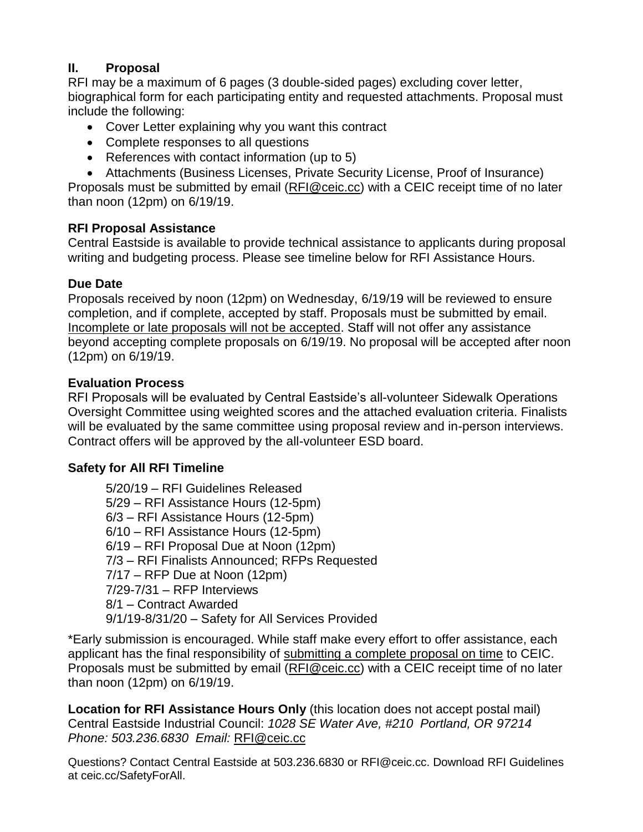#### **II. Proposal**

RFI may be a maximum of 6 pages (3 double-sided pages) excluding cover letter, biographical form for each participating entity and requested attachments. Proposal must include the following:

- Cover Letter explaining why you want this contract
- Complete responses to all questions
- References with contact information (up to 5)
- Attachments (Business Licenses, Private Security License, Proof of Insurance)

Proposals must be submitted by email [\(RFI@ceic.cc\)](mailto:RFI@ceic.cc) with a CEIC receipt time of no later than noon (12pm) on 6/19/19.

#### **RFI Proposal Assistance**

Central Eastside is available to provide technical assistance to applicants during proposal writing and budgeting process. Please see timeline below for RFI Assistance Hours.

#### **Due Date**

Proposals received by noon (12pm) on Wednesday, 6/19/19 will be reviewed to ensure completion, and if complete, accepted by staff. Proposals must be submitted by email. Incomplete or late proposals will not be accepted. Staff will not offer any assistance beyond accepting complete proposals on 6/19/19. No proposal will be accepted after noon (12pm) on 6/19/19.

#### **Evaluation Process**

RFI Proposals will be evaluated by Central Eastside's all-volunteer Sidewalk Operations Oversight Committee using weighted scores and the attached evaluation criteria. Finalists will be evaluated by the same committee using proposal review and in-person interviews. Contract offers will be approved by the all-volunteer ESD board.

#### **Safety for All RFI Timeline**

5/20/19 – RFI Guidelines Released 5/29 – RFI Assistance Hours (12-5pm) 6/3 – RFI Assistance Hours (12-5pm) 6/10 – RFI Assistance Hours (12-5pm) 6/19 – RFI Proposal Due at Noon (12pm) 7/3 – RFI Finalists Announced; RFPs Requested 7/17 – RFP Due at Noon (12pm) 7/29-7/31 – RFP Interviews 8/1 – Contract Awarded 9/1/19-8/31/20 – Safety for All Services Provided

\*Early submission is encouraged. While staff make every effort to offer assistance, each applicant has the final responsibility of submitting a complete proposal on time to CEIC. Proposals must be submitted by email [\(RFI@ceic.cc\)](mailto:RFI@ceic.cc) with a CEIC receipt time of no later than noon (12pm) on 6/19/19.

**Location for RFI Assistance Hours Only** (this location does not accept postal mail) Central Eastside Industrial Council: *1028 SE Water Ave, #210 Portland, OR 97214 Phone: 503.236.6830 Email:* [RFI@ceic.cc](mailto:RFI@ceic.cc)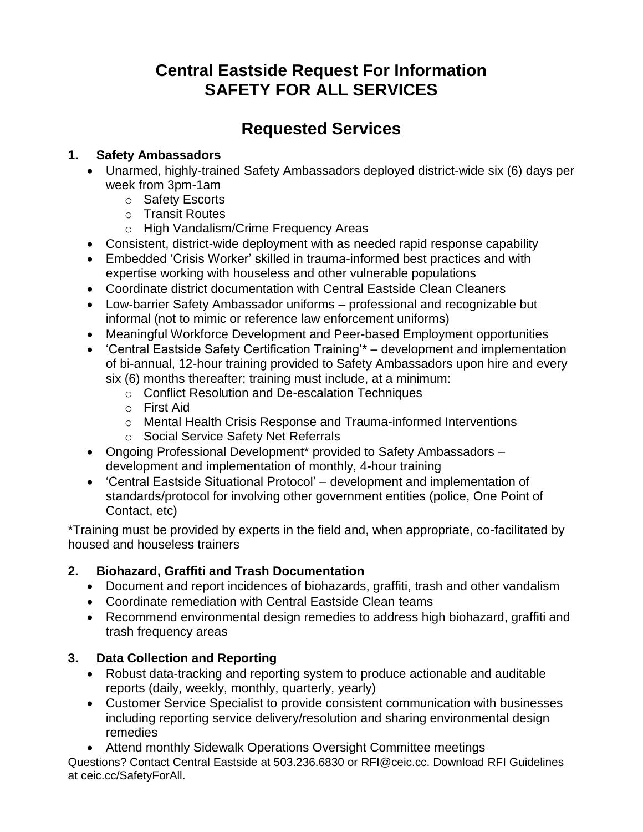# **Requested Services**

#### **1. Safety Ambassadors**

- Unarmed, highly-trained Safety Ambassadors deployed district-wide six (6) days per week from 3pm-1am
	- o Safety Escorts
	- o Transit Routes
	- o High Vandalism/Crime Frequency Areas
- Consistent, district-wide deployment with as needed rapid response capability
- Embedded 'Crisis Worker' skilled in trauma-informed best practices and with expertise working with houseless and other vulnerable populations
- Coordinate district documentation with Central Eastside Clean Cleaners
- Low-barrier Safety Ambassador uniforms professional and recognizable but informal (not to mimic or reference law enforcement uniforms)
- Meaningful Workforce Development and Peer-based Employment opportunities
- 'Central Eastside Safety Certification Training'\* development and implementation of bi-annual, 12-hour training provided to Safety Ambassadors upon hire and every six (6) months thereafter; training must include, at a minimum:
	- o Conflict Resolution and De-escalation Techniques
	- o First Aid
	- o Mental Health Crisis Response and Trauma-informed Interventions
	- o Social Service Safety Net Referrals
- Ongoing Professional Development\* provided to Safety Ambassadors development and implementation of monthly, 4-hour training
- 'Central Eastside Situational Protocol' development and implementation of standards/protocol for involving other government entities (police, One Point of Contact, etc)

\*Training must be provided by experts in the field and, when appropriate, co-facilitated by housed and houseless trainers

#### **2. Biohazard, Graffiti and Trash Documentation**

- Document and report incidences of biohazards, graffiti, trash and other vandalism
- Coordinate remediation with Central Eastside Clean teams
- Recommend environmental design remedies to address high biohazard, graffiti and trash frequency areas

#### **3. Data Collection and Reporting**

- Robust data-tracking and reporting system to produce actionable and auditable reports (daily, weekly, monthly, quarterly, yearly)
- Customer Service Specialist to provide consistent communication with businesses including reporting service delivery/resolution and sharing environmental design remedies
- Attend monthly Sidewalk Operations Oversight Committee meetings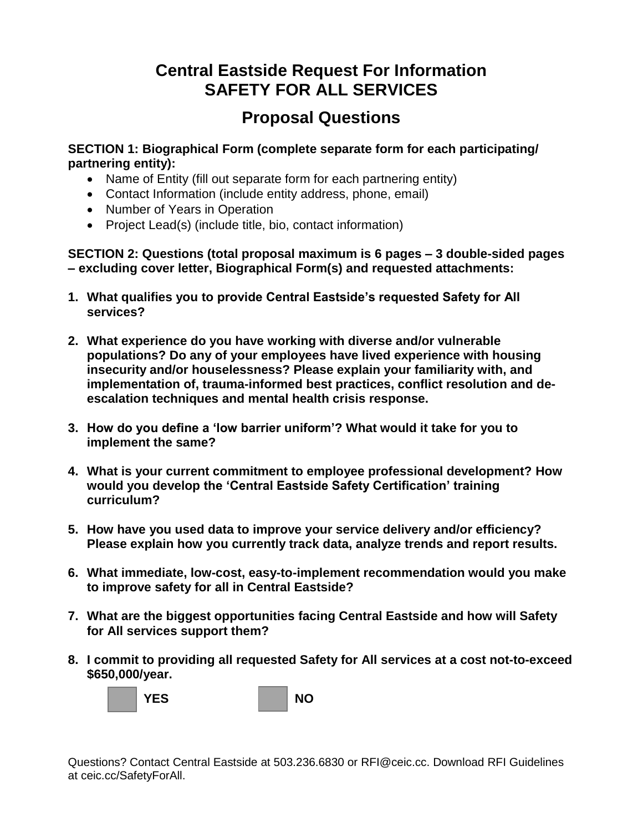# **Proposal Questions**

**SECTION 1: Biographical Form (complete separate form for each participating/ partnering entity):**

- Name of Entity (fill out separate form for each partnering entity)
- Contact Information (include entity address, phone, email)
- Number of Years in Operation
- Project Lead(s) (include title, bio, contact information)

**SECTION 2: Questions (total proposal maximum is 6 pages – 3 double-sided pages – excluding cover letter, Biographical Form(s) and requested attachments:** 

- **1. What qualifies you to provide Central Eastside's requested Safety for All services?**
- **2. What experience do you have working with diverse and/or vulnerable populations? Do any of your employees have lived experience with housing insecurity and/or houselessness? Please explain your familiarity with, and implementation of, trauma-informed best practices, conflict resolution and deescalation techniques and mental health crisis response.**
- **3. How do you define a 'low barrier uniform'? What would it take for you to implement the same?**
- **4. What is your current commitment to employee professional development? How would you develop the 'Central Eastside Safety Certification' training curriculum?**
- **5. How have you used data to improve your service delivery and/or efficiency? Please explain how you currently track data, analyze trends and report results.**
- **6. What immediate, low-cost, easy-to-implement recommendation would you make to improve safety for all in Central Eastside?**
- **7. What are the biggest opportunities facing Central Eastside and how will Safety for All services support them?**
- **8. I commit to providing all requested Safety for All services at a cost not-to-exceed \$650,000/year.**

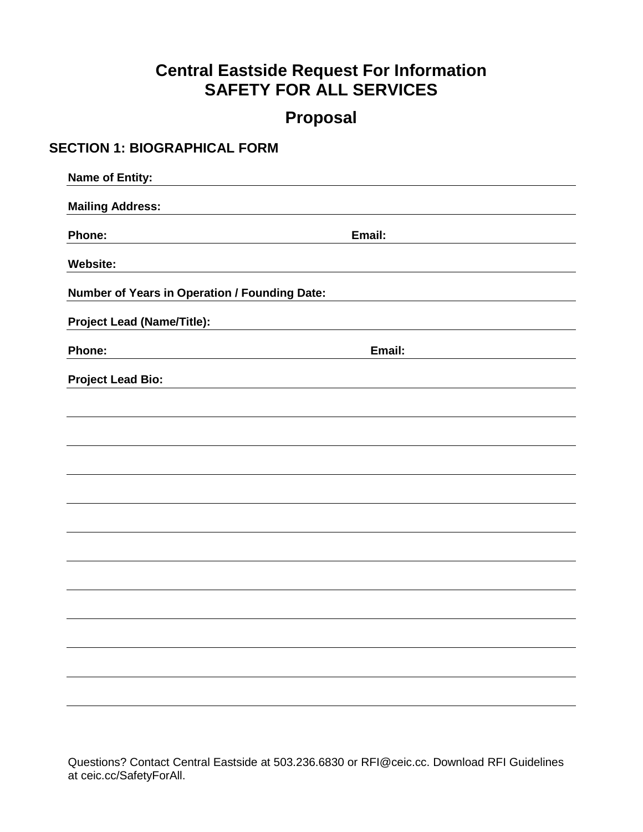## **Proposal**

#### **SECTION 1: BIOGRAPHICAL FORM**

| <b>Name of Entity:</b>                        |        |
|-----------------------------------------------|--------|
| <b>Mailing Address:</b>                       |        |
| Phone:                                        | Email: |
| <b>Website:</b>                               |        |
| Number of Years in Operation / Founding Date: |        |
| <b>Project Lead (Name/Title):</b>             |        |
| Phone:                                        | Email: |
| <b>Project Lead Bio:</b>                      |        |
|                                               |        |
|                                               |        |
|                                               |        |
|                                               |        |
|                                               |        |
|                                               |        |
|                                               |        |
|                                               |        |
|                                               |        |
|                                               |        |
|                                               |        |
|                                               |        |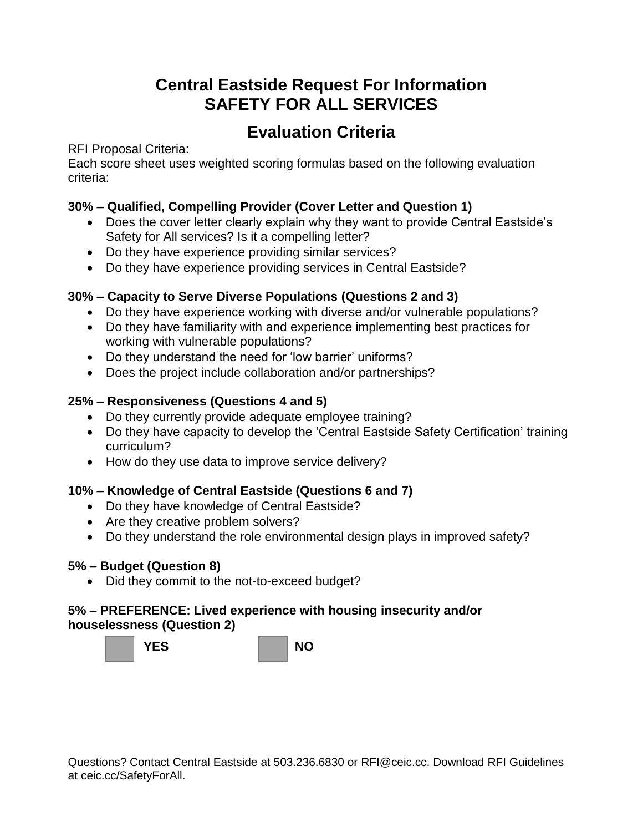# **Evaluation Criteria**

#### RFI Proposal Criteria:

Each score sheet uses weighted scoring formulas based on the following evaluation criteria:

#### **30% – Qualified, Compelling Provider (Cover Letter and Question 1)**

- Does the cover letter clearly explain why they want to provide Central Eastside's Safety for All services? Is it a compelling letter?
- Do they have experience providing similar services?
- Do they have experience providing services in Central Eastside?

#### **30% – Capacity to Serve Diverse Populations (Questions 2 and 3)**

- Do they have experience working with diverse and/or vulnerable populations?
- Do they have familiarity with and experience implementing best practices for working with vulnerable populations?
- Do they understand the need for 'low barrier' uniforms?
- Does the project include collaboration and/or partnerships?

#### **25% – Responsiveness (Questions 4 and 5)**

- Do they currently provide adequate employee training?
- Do they have capacity to develop the 'Central Eastside Safety Certification' training curriculum?
- How do they use data to improve service delivery?

#### **10% – Knowledge of Central Eastside (Questions 6 and 7)**

- Do they have knowledge of Central Eastside?
- Are they creative problem solvers?
- Do they understand the role environmental design plays in improved safety?

#### **5% – Budget (Question 8)**

• Did they commit to the not-to-exceed budget?

#### **5% – PREFERENCE: Lived experience with housing insecurity and/or houselessness (Question 2)**

**YES NO**